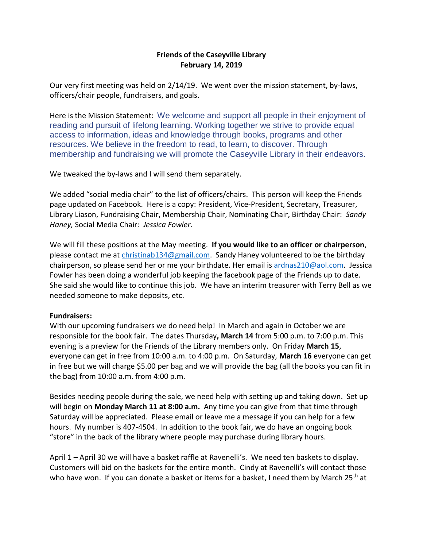## **Friends of the Caseyville Library February 14, 2019**

Our very first meeting was held on 2/14/19. We went over the mission statement, by-laws, officers/chair people, fundraisers, and goals.

Here is the Mission Statement: We welcome and support all people in their enjoyment of reading and pursuit of lifelong learning. Working together we strive to provide equal access to information, ideas and knowledge through books, programs and other resources. We believe in the freedom to read, to learn, to discover. Through membership and fundraising we will promote the Caseyville Library in their endeavors.

We tweaked the by-laws and I will send them separately.

We added "social media chair" to the list of officers/chairs. This person will keep the Friends page updated on Facebook. Here is a copy: President, Vice-President, Secretary, Treasurer, Library Liason, Fundraising Chair, Membership Chair, Nominating Chair, Birthday Chair: *Sandy Haney,* Social Media Chair: *Jessica Fowler*.

We will fill these positions at the May meeting. **If you would like to an officer or chairperson**, please contact me at [christinab134@gmail.com.](mailto:christinab134@gmail.com) Sandy Haney volunteered to be the birthday chairperson, so please send her or me your birthdate. Her email is [ardnas210@aol.com.](mailto:ardnas210@aol.com) Jessica Fowler has been doing a wonderful job keeping the facebook page of the Friends up to date. She said she would like to continue this job. We have an interim treasurer with Terry Bell as we needed someone to make deposits, etc.

## **Fundraisers:**

With our upcoming fundraisers we do need help! In March and again in October we are responsible for the book fair. The dates Thursday**, March 14** from 5:00 p.m. to 7:00 p.m. This evening is a preview for the Friends of the Library members only. On Friday **March 15**, everyone can get in free from 10:00 a.m. to 4:00 p.m. On Saturday, **March 16** everyone can get in free but we will charge \$5.00 per bag and we will provide the bag (all the books you can fit in the bag) from 10:00 a.m. from 4:00 p.m.

Besides needing people during the sale, we need help with setting up and taking down. Set up will begin on **Monday March 11 at 8:00 a.m.** Any time you can give from that time through Saturday will be appreciated. Please email or leave me a message if you can help for a few hours. My number is 407-4504. In addition to the book fair, we do have an ongoing book "store" in the back of the library where people may purchase during library hours.

April 1 – April 30 we will have a basket raffle at Ravenelli's. We need ten baskets to display. Customers will bid on the baskets for the entire month. Cindy at Ravenelli's will contact those who have won. If you can donate a basket or items for a basket, I need them by March  $25<sup>th</sup>$  at